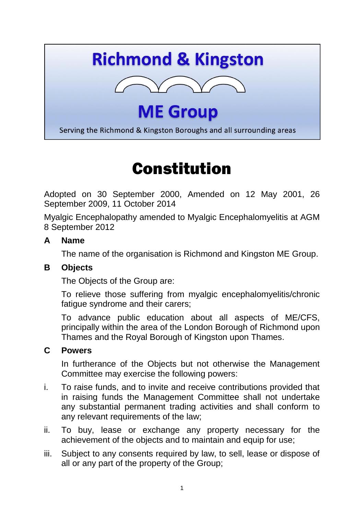# **Richmond & Kingston**



# **ME Group**

Serving the Richmond & Kingston Boroughs and all surrounding areas

# Constitution

Adopted on 30 September 2000, Amended on 12 May 2001, 26 September 2009, 11 October 2014

Myalgic Encephalopathy amended to Myalgic Encephalomyelitis at AGM 8 September 2012

#### **A Name**

The name of the organisation is Richmond and Kingston ME Group.

#### **B Objects**

The Objects of the Group are:

To relieve those suffering from myalgic encephalomyelitis/chronic fatique syndrome and their carers:

To advance public education about all aspects of ME/CFS, principally within the area of the London Borough of Richmond upon Thames and the Royal Borough of Kingston upon Thames.

#### **C Powers**

In furtherance of the Objects but not otherwise the Management Committee may exercise the following powers:

- i. To raise funds, and to invite and receive contributions provided that in raising funds the Management Committee shall not undertake any substantial permanent trading activities and shall conform to any relevant requirements of the law;
- ii. To buy, lease or exchange any property necessary for the achievement of the objects and to maintain and equip for use;
- iii. Subject to any consents required by law, to sell, lease or dispose of all or any part of the property of the Group;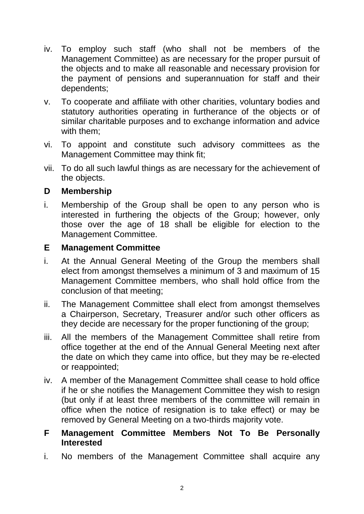- iv. To employ such staff (who shall not be members of the Management Committee) as are necessary for the proper pursuit of the objects and to make all reasonable and necessary provision for the payment of pensions and superannuation for staff and their dependents;
- v. To cooperate and affiliate with other charities, voluntary bodies and statutory authorities operating in furtherance of the objects or of similar charitable purposes and to exchange information and advice with them;
- vi. To appoint and constitute such advisory committees as the Management Committee may think fit;
- vii. To do all such lawful things as are necessary for the achievement of the objects.

#### **D Membership**

i. Membership of the Group shall be open to any person who is interested in furthering the objects of the Group; however, only those over the age of 18 shall be eligible for election to the Management Committee.

#### **E Management Committee**

- i. At the Annual General Meeting of the Group the members shall elect from amongst themselves a minimum of 3 and maximum of 15 Management Committee members, who shall hold office from the conclusion of that meeting;
- ii. The Management Committee shall elect from amongst themselves a Chairperson, Secretary, Treasurer and/or such other officers as they decide are necessary for the proper functioning of the group;
- iii. All the members of the Management Committee shall retire from office together at the end of the Annual General Meeting next after the date on which they came into office, but they may be re-elected or reappointed;
- iv. A member of the Management Committee shall cease to hold office if he or she notifies the Management Committee they wish to resign (but only if at least three members of the committee will remain in office when the notice of resignation is to take effect) or may be removed by General Meeting on a two-thirds majority vote.

#### **F Management Committee Members Not To Be Personally Interested**

i. No members of the Management Committee shall acquire any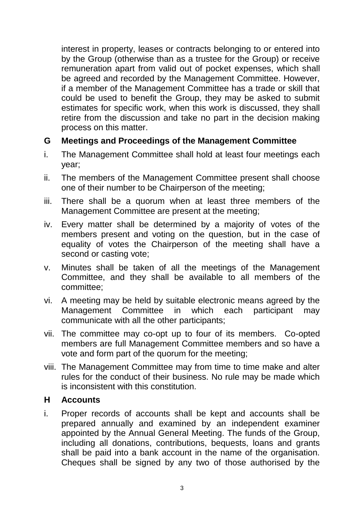interest in property, leases or contracts belonging to or entered into by the Group (otherwise than as a trustee for the Group) or receive remuneration apart from valid out of pocket expenses, which shall be agreed and recorded by the Management Committee. However, if a member of the Management Committee has a trade or skill that could be used to benefit the Group, they may be asked to submit estimates for specific work, when this work is discussed, they shall retire from the discussion and take no part in the decision making process on this matter.

#### **G Meetings and Proceedings of the Management Committee**

- i. The Management Committee shall hold at least four meetings each year;
- ii. The members of the Management Committee present shall choose one of their number to be Chairperson of the meeting;
- iii. There shall be a quorum when at least three members of the Management Committee are present at the meeting;
- iv. Every matter shall be determined by a majority of votes of the members present and voting on the question, but in the case of equality of votes the Chairperson of the meeting shall have a second or casting vote;
- v. Minutes shall be taken of all the meetings of the Management Committee, and they shall be available to all members of the committee;
- vi. A meeting may be held by suitable electronic means agreed by the Management Committee in which each participant may communicate with all the other participants;
- vii. The committee may co-opt up to four of its members. Co-opted members are full Management Committee members and so have a vote and form part of the quorum for the meeting;
- viii. The Management Committee may from time to time make and alter rules for the conduct of their business. No rule may be made which is inconsistent with this constitution.

#### **H Accounts**

i. Proper records of accounts shall be kept and accounts shall be prepared annually and examined by an independent examiner appointed by the Annual General Meeting. The funds of the Group, including all donations, contributions, bequests, loans and grants shall be paid into a bank account in the name of the organisation. Cheques shall be signed by any two of those authorised by the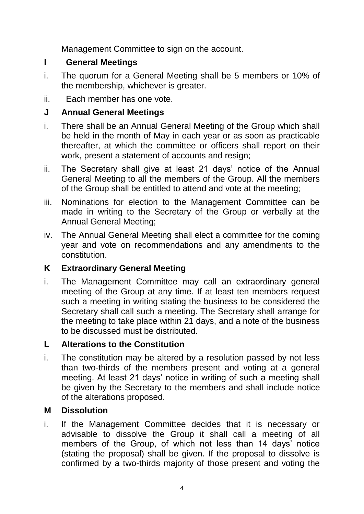Management Committee to sign on the account.

### **I General Meetings**

- i. The quorum for a General Meeting shall be 5 members or 10% of the membership, whichever is greater.
- ii. Each member has one vote.

# **J Annual General Meetings**

- i. There shall be an Annual General Meeting of the Group which shall be held in the month of May in each year or as soon as practicable thereafter, at which the committee or officers shall report on their work, present a statement of accounts and resign;
- ii. The Secretary shall give at least 21 days' notice of the Annual General Meeting to all the members of the Group. All the members of the Group shall be entitled to attend and vote at the meeting;
- iii. Nominations for election to the Management Committee can be made in writing to the Secretary of the Group or verbally at the Annual General Meeting;
- iv. The Annual General Meeting shall elect a committee for the coming year and vote on recommendations and any amendments to the constitution.

# **K Extraordinary General Meeting**

i. The Management Committee may call an extraordinary general meeting of the Group at any time. If at least ten members request such a meeting in writing stating the business to be considered the Secretary shall call such a meeting. The Secretary shall arrange for the meeting to take place within 21 days, and a note of the business to be discussed must be distributed.

# **L Alterations to the Constitution**

i. The constitution may be altered by a resolution passed by not less than two-thirds of the members present and voting at a general meeting. At least 21 days' notice in writing of such a meeting shall be given by the Secretary to the members and shall include notice of the alterations proposed.

# **M Dissolution**

i. If the Management Committee decides that it is necessary or advisable to dissolve the Group it shall call a meeting of all members of the Group, of which not less than 14 days' notice (stating the proposal) shall be given. If the proposal to dissolve is confirmed by a two-thirds majority of those present and voting the